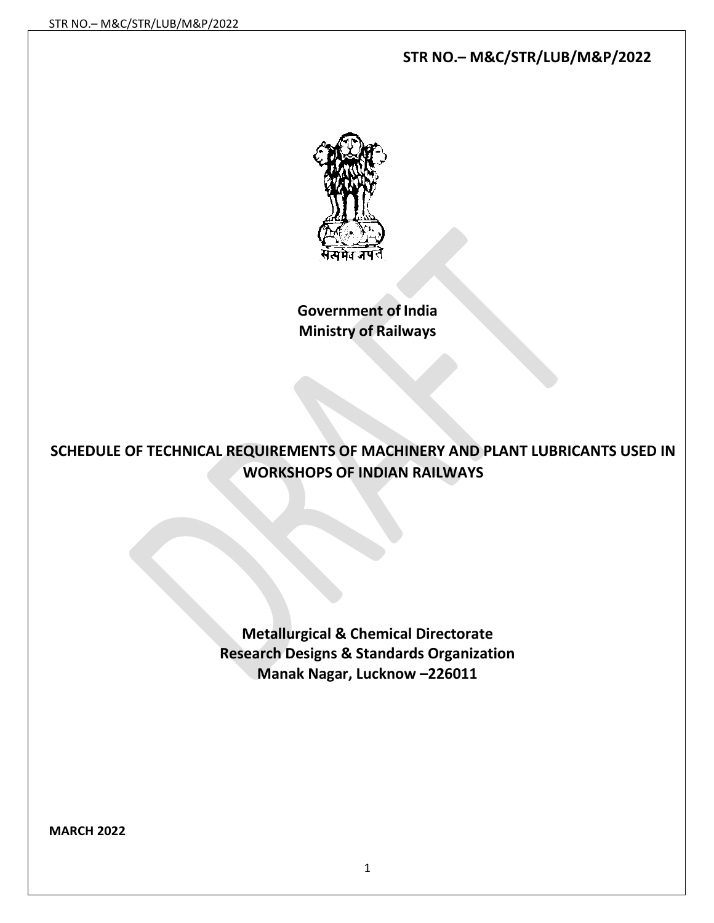# **STR NO.– M&C/STR/LUB/M&P/2022**



**Government of India Ministry of Railways**

# **SCHEDULE OF TECHNICAL REQUIREMENTS OF MACHINERY AND PLANT LUBRICANTS USED IN WORKSHOPS OF INDIAN RAILWAYS**

**Metallurgical & Chemical Directorate Research Designs & Standards Organization Manak Nagar, Lucknow –226011**

**MARCH 2022**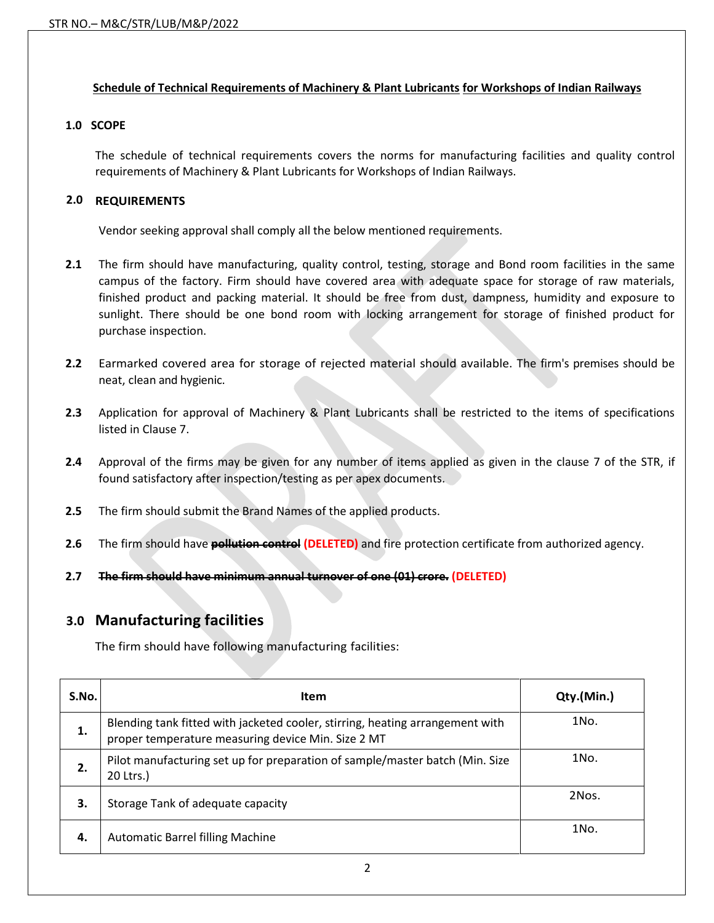### **Schedule of Technical Requirements of Machinery & Plant Lubricants for Workshops of Indian Railways**

### **1.0 SCOPE**

The schedule of technical requirements covers the norms for manufacturing facilities and quality control requirements of Machinery & Plant Lubricants for Workshops of Indian Railways.

### **2.0 REQUIREMENTS**

Vendor seeking approval shall comply all the below mentioned requirements.

- **2.1** The firm should have manufacturing, quality control, testing, storage and Bond room facilities in the same campus of the factory. Firm should have covered area with adequate space for storage of raw materials, finished product and packing material. It should be free from dust, dampness, humidity and exposure to sunlight. There should be one bond room with locking arrangement for storage of finished product for purchase inspection.
- **2.2** Earmarked covered area for storage of rejected material should available. The firm's premises should be neat, clean and hygienic.
- **2.3** Application for approval of Machinery & Plant Lubricants shall be restricted to the items of specifications listed in Clause 7.
- **2.4** Approval of the firms may be given for any number of items applied as given in the clause 7 of the STR, if found satisfactory after inspection/testing as per apex documents.
- **2.5** The firm should submit the Brand Names of the applied products.
- **2.6** The firm should have **pollution control (DELETED)** and fire protection certificate from authorized agency.
- **2.7 The firm should have minimum annual turnover of one (01) crore. (DELETED)**

## **3.0 Manufacturing facilities**

The firm should have following manufacturing facilities:

| S.No. | <b>Item</b>                                                                                                                         | Qty.(Min.) |
|-------|-------------------------------------------------------------------------------------------------------------------------------------|------------|
| 1.    | Blending tank fitted with jacketed cooler, stirring, heating arrangement with<br>proper temperature measuring device Min. Size 2 MT | 1No.       |
| 2.    | Pilot manufacturing set up for preparation of sample/master batch (Min. Size<br>20 Ltrs.)                                           | 1No.       |
| 3.    | Storage Tank of adequate capacity                                                                                                   | 2Nos.      |
| 4.    | <b>Automatic Barrel filling Machine</b>                                                                                             | 1No.       |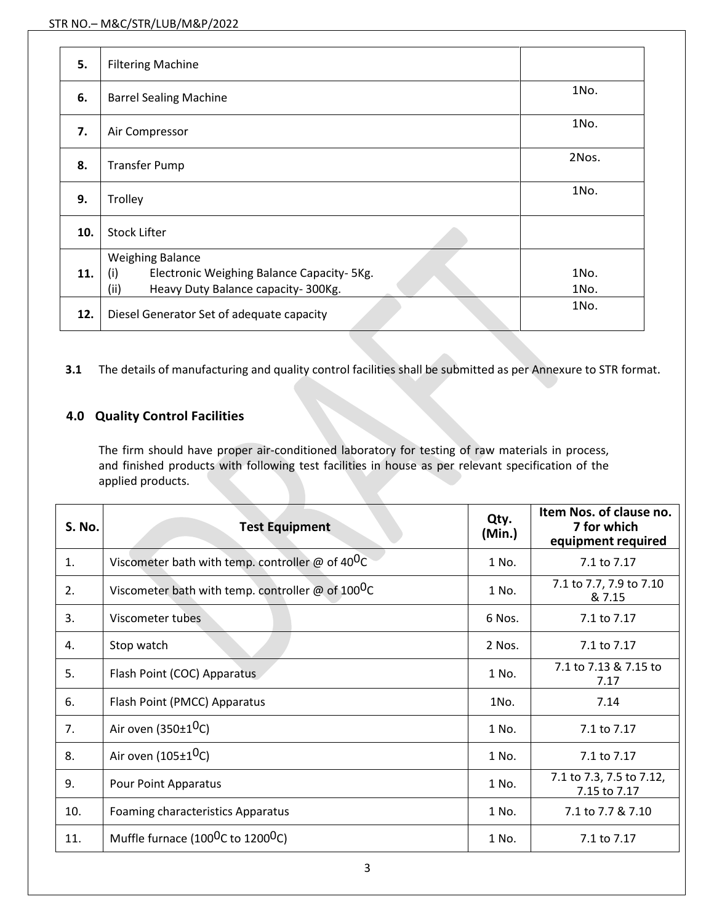| 5.  | <b>Filtering Machine</b>                                                                                                   |              |
|-----|----------------------------------------------------------------------------------------------------------------------------|--------------|
| 6.  | <b>Barrel Sealing Machine</b>                                                                                              | 1No.         |
| 7.  | Air Compressor                                                                                                             | 1No.         |
| 8.  | <b>Transfer Pump</b>                                                                                                       | 2Nos.        |
| 9.  | Trolley                                                                                                                    | 1No.         |
| 10. | <b>Stock Lifter</b>                                                                                                        |              |
| 11. | <b>Weighing Balance</b><br>(i)<br>Electronic Weighing Balance Capacity- 5Kg.<br>(ii)<br>Heavy Duty Balance capacity-300Kg. | 1No.<br>1No. |
| 12. | Diesel Generator Set of adequate capacity                                                                                  | 1No.         |

**3.1** The details of manufacturing and quality control facilities shall be submitted as per Annexure to STR format.

# **4.0 Quality Control Facilities**

The firm should have proper air-conditioned laboratory for testing of raw materials in process, and finished products with following test facilities in house as per relevant specification of the applied products.

| <b>S. No.</b> | <b>Test Equipment</b>                                               | Qty.<br>(Min.) | Item Nos. of clause no.<br>7 for which<br>equipment required |
|---------------|---------------------------------------------------------------------|----------------|--------------------------------------------------------------|
| 1.            | Viscometer bath with temp. controller $\omega$ of 40 <sup>0</sup> C | 1 No.          | 7.1 to 7.17                                                  |
| 2.            | Viscometer bath with temp. controller @ of $100^0C$                 | 1 No.          | 7.1 to 7.7, 7.9 to 7.10<br>& 7.15                            |
| 3.            | Viscometer tubes                                                    | 6 Nos.         | 7.1 to 7.17                                                  |
| 4.            | Stop watch                                                          | 2 Nos.         | 7.1 to 7.17                                                  |
| 5.            | Flash Point (COC) Apparatus                                         | 1 No.          | 7.1 to 7.13 & 7.15 to<br>7.17                                |
| 6.            | Flash Point (PMCC) Apparatus                                        | 1No.           | 7.14                                                         |
| 7.            | Air oven $(350\pm10)$                                               | 1 No.          | 7.1 to 7.17                                                  |
| 8.            | Air oven (105±1 <sup>0</sup> C)                                     | 1 No.          | 7.1 to 7.17                                                  |
| 9.            | <b>Pour Point Apparatus</b>                                         | 1 No.          | 7.1 to 7.3, 7.5 to 7.12,<br>7.15 to 7.17                     |
| 10.           | <b>Foaming characteristics Apparatus</b>                            | 1 No.          | 7.1 to 7.7 & 7.10                                            |
| 11.           | Muffle furnace (100 <sup>0</sup> C to 1200 <sup>0</sup> C)          | 1 No.          | 7.1 to 7.17                                                  |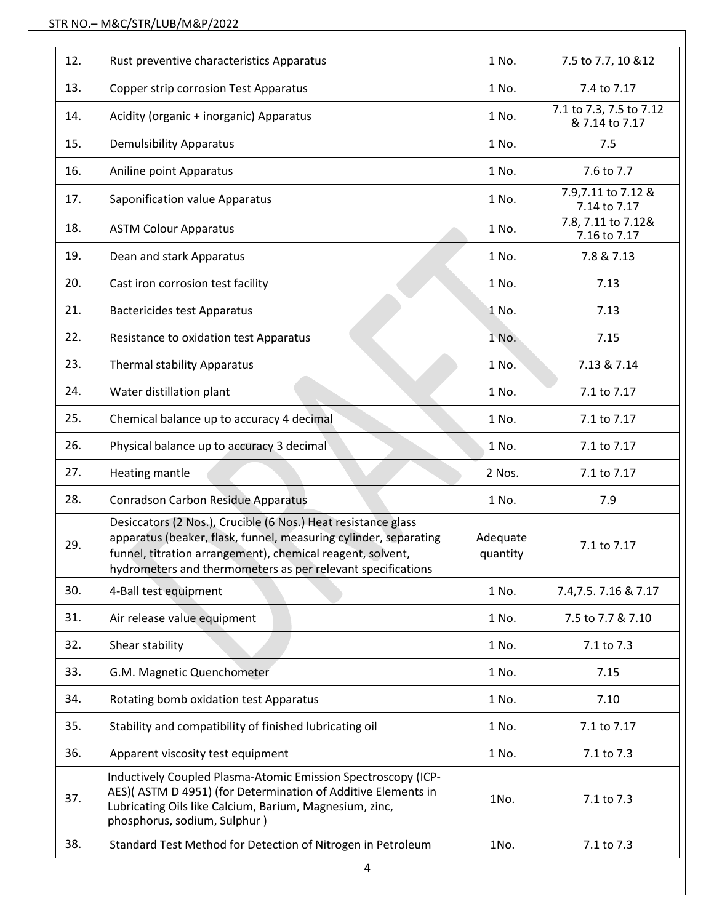| 12. | Rust preventive characteristics Apparatus                                                                                                                                                                                                                      | 1 No.                | 7.5 to 7.7, 10 & 12                       |  |
|-----|----------------------------------------------------------------------------------------------------------------------------------------------------------------------------------------------------------------------------------------------------------------|----------------------|-------------------------------------------|--|
| 13. | <b>Copper strip corrosion Test Apparatus</b>                                                                                                                                                                                                                   | 1 No.                | 7.4 to 7.17                               |  |
| 14. | Acidity (organic + inorganic) Apparatus                                                                                                                                                                                                                        | 1 No.                | 7.1 to 7.3, 7.5 to 7.12<br>& 7.14 to 7.17 |  |
| 15. | <b>Demulsibility Apparatus</b>                                                                                                                                                                                                                                 |                      | 7.5                                       |  |
| 16. | Aniline point Apparatus                                                                                                                                                                                                                                        | 1 No.                | 7.6 to 7.7                                |  |
| 17. | Saponification value Apparatus                                                                                                                                                                                                                                 | 1 No.                | 7.9,7.11 to 7.12 &<br>7.14 to 7.17        |  |
| 18. | <b>ASTM Colour Apparatus</b>                                                                                                                                                                                                                                   | 1 No.                | 7.8, 7.11 to 7.12&<br>7.16 to 7.17        |  |
| 19. | Dean and stark Apparatus                                                                                                                                                                                                                                       | 1 No.                | 7.8 & 7.13                                |  |
| 20. | Cast iron corrosion test facility                                                                                                                                                                                                                              | 1 No.                | 7.13                                      |  |
| 21. | <b>Bactericides test Apparatus</b>                                                                                                                                                                                                                             | 1 No.                | 7.13                                      |  |
| 22. | Resistance to oxidation test Apparatus                                                                                                                                                                                                                         | 1 No.                | 7.15                                      |  |
| 23. | <b>Thermal stability Apparatus</b>                                                                                                                                                                                                                             | 1 No.                | 7.13 & 7.14                               |  |
| 24. | Water distillation plant                                                                                                                                                                                                                                       | 1 No.                | 7.1 to 7.17                               |  |
| 25. | Chemical balance up to accuracy 4 decimal                                                                                                                                                                                                                      | 1 No.                | 7.1 to 7.17                               |  |
| 26. | Physical balance up to accuracy 3 decimal                                                                                                                                                                                                                      | 1 No.                | 7.1 to 7.17                               |  |
| 27. | Heating mantle                                                                                                                                                                                                                                                 | 2 Nos.               | 7.1 to 7.17                               |  |
| 28. | Conradson Carbon Residue Apparatus                                                                                                                                                                                                                             | 1 No.                | 7.9                                       |  |
| 29. | Desiccators (2 Nos.), Crucible (6 Nos.) Heat resistance glass<br>apparatus (beaker, flask, funnel, measuring cylinder, separating<br>funnel, titration arrangement), chemical reagent, solvent,<br>hydrometers and thermometers as per relevant specifications | Adequate<br>quantity | 7.1 to 7.17                               |  |
| 30. | 4-Ball test equipment                                                                                                                                                                                                                                          | 1 No.                | 7.4, 7.5. 7.16 & 7.17                     |  |
| 31. | Air release value equipment                                                                                                                                                                                                                                    | 1 No.                | 7.5 to 7.7 & 7.10                         |  |
| 32. | Shear stability                                                                                                                                                                                                                                                | 1 No.                | 7.1 to 7.3                                |  |
| 33. | G.M. Magnetic Quenchometer                                                                                                                                                                                                                                     | 1 No.                | 7.15                                      |  |
| 34. | Rotating bomb oxidation test Apparatus                                                                                                                                                                                                                         | 1 No.                | 7.10                                      |  |
| 35. | Stability and compatibility of finished lubricating oil                                                                                                                                                                                                        | 1 No.                | 7.1 to 7.17                               |  |
| 36. | Apparent viscosity test equipment                                                                                                                                                                                                                              | 1 No.                | 7.1 to 7.3                                |  |
| 37. | Inductively Coupled Plasma-Atomic Emission Spectroscopy (ICP-<br>AES)(ASTM D 4951) (for Determination of Additive Elements in<br>Lubricating Oils like Calcium, Barium, Magnesium, zinc,<br>phosphorus, sodium, Sulphur)                                       | 1No.                 | 7.1 to 7.3                                |  |
| 38. | Standard Test Method for Detection of Nitrogen in Petroleum                                                                                                                                                                                                    | 1No.                 | 7.1 to 7.3                                |  |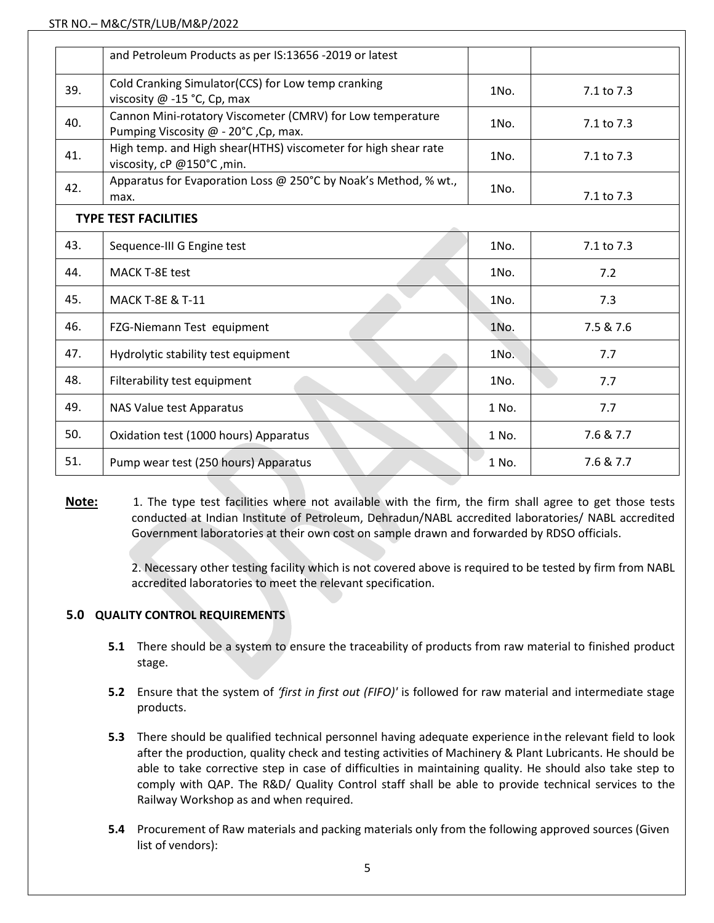|                             | and Petroleum Products as per IS:13656 -2019 or latest                                             |                    |            |  |
|-----------------------------|----------------------------------------------------------------------------------------------------|--------------------|------------|--|
| 39.                         | Cold Cranking Simulator(CCS) for Low temp cranking<br>viscosity @ -15 °C, Cp, max                  | 1No.               | 7.1 to 7.3 |  |
| 40.                         | Cannon Mini-rotatory Viscometer (CMRV) for Low temperature<br>Pumping Viscosity @ - 20°C, Cp, max. | 1No.<br>7.1 to 7.3 |            |  |
| 41.                         | High temp. and High shear(HTHS) viscometer for high shear rate<br>viscosity, cP @150°C, min.       | 1No.               | 7.1 to 7.3 |  |
| 42.                         | Apparatus for Evaporation Loss @ 250°C by Noak's Method, % wt.,<br>max.                            | 1No.               | 7.1 to 7.3 |  |
| <b>TYPE TEST FACILITIES</b> |                                                                                                    |                    |            |  |
| 43.                         | Sequence-III G Engine test                                                                         | 1No.               | 7.1 to 7.3 |  |
| 44.                         | <b>MACK T-8E test</b>                                                                              | 1No.               | 7.2        |  |
| 45.                         | <b>MACK T-8E &amp; T-11</b>                                                                        | 1No.               | 7.3        |  |
| 46.                         | FZG-Niemann Test equipment                                                                         | 1No.               | 7.5 & 7.6  |  |
| 47.                         | Hydrolytic stability test equipment                                                                | 1No.               | 7.7        |  |
| 48.                         | Filterability test equipment                                                                       | 1No.               | 7.7        |  |
| 49.                         | NAS Value test Apparatus                                                                           | 1 No.              | 7.7        |  |
| 50.                         | Oxidation test (1000 hours) Apparatus                                                              | 1 No.              | 7.6 & 7.7  |  |
| 51.                         | Pump wear test (250 hours) Apparatus                                                               | 1 No.              | 7.6 & 7.7  |  |

**Note:** 1. The type test facilities where not available with the firm, the firm shall agree to get those tests conducted at Indian Institute of Petroleum, Dehradun/NABL accredited laboratories/ NABL accredited Government laboratories at their own cost on sample drawn and forwarded by RDSO officials.

> 2. Necessary other testing facility which is not covered above is required to be tested by firm from NABL accredited laboratories to meet the relevant specification.

### **5.0 QUALITY CONTROL REQUIREMENTS**

- **5.1** There should be a system to ensure the traceability of products from raw material to finished product stage.
- **5.2** Ensure that the system of *'first in first out (FIFO)'* is followed for raw material and intermediate stage products.
- **5.3** There should be qualified technical personnel having adequate experience inthe relevant field to look after the production, quality check and testing activities of Machinery & Plant Lubricants. He should be able to take corrective step in case of difficulties in maintaining quality. He should also take step to comply with QAP. The R&D/ Quality Control staff shall be able to provide technical services to the Railway Workshop as and when required.
- **5.4** Procurement of Raw materials and packing materials only from the following approved sources (Given list of vendors):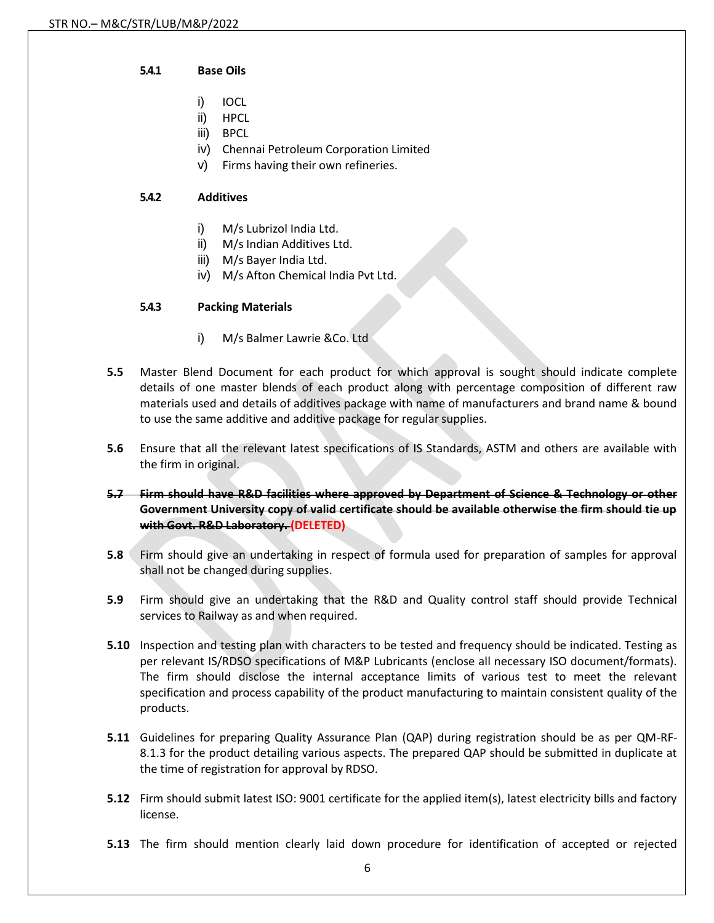#### **5.4.1 Base Oils**

- i) IOCL
- ii) HPCL
- iii) BPCL
- iv) Chennai Petroleum Corporation Limited
- v) Firms having their own refineries.

### **5.4.2 Additives**

- i) M/s Lubrizol India Ltd.
- ii) M/s Indian Additives Ltd.
- iii) M/s Bayer India Ltd.
- iv) M/s Afton Chemical India Pvt Ltd.

### **5.4.3 Packing Materials**

- i) M/s Balmer Lawrie &Co. Ltd
- **5.5** Master Blend Document for each product for which approval is sought should indicate complete details of one master blends of each product along with percentage composition of different raw materials used and details of additives package with name of manufacturers and brand name & bound to use the same additive and additive package for regular supplies.
- **5.6** Ensure that all the relevant latest specifications of IS Standards, ASTM and others are available with the firm in original.
- **5.7 Firm should have R&D facilities where approved by Department of Science & Technology or other Government University copy of valid certificate should be available otherwise the firm should tie up with Govt. R&D Laboratory. (DELETED)**
- **5.8** Firm should give an undertaking in respect of formula used for preparation of samples for approval shall not be changed during supplies.
- **5.9** Firm should give an undertaking that the R&D and Quality control staff should provide Technical services to Railway as and when required.
- **5.10** Inspection and testing plan with characters to be tested and frequency should be indicated. Testing as per relevant IS/RDSO specifications of M&P Lubricants (enclose all necessary ISO document/formats). The firm should disclose the internal acceptance limits of various test to meet the relevant specification and process capability of the product manufacturing to maintain consistent quality of the products.
- **5.11** Guidelines for preparing Quality Assurance Plan (QAP) during registration should be as per QM-RF-8.1.3 for the product detailing various aspects. The prepared QAP should be submitted in duplicate at the time of registration for approval by RDSO.
- **5.12** Firm should submit latest ISO: 9001 certificate for the applied item(s), latest electricity bills and factory license.
- **5.13** The firm should mention clearly laid down procedure for identification of accepted or rejected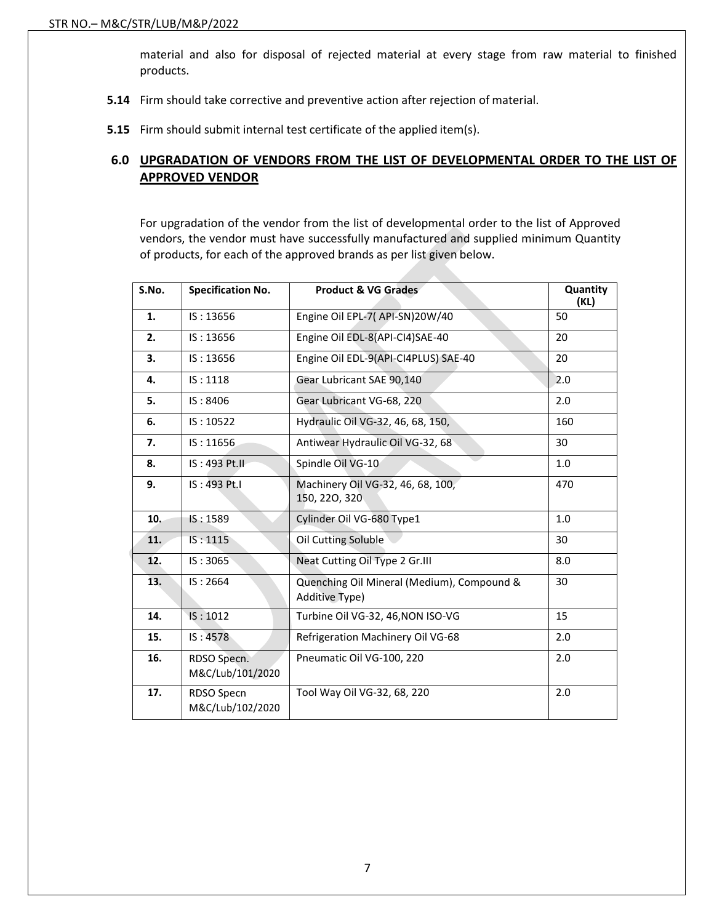material and also for disposal of rejected material at every stage from raw material to finished products.

- **5.14** Firm should take corrective and preventive action after rejection of material.
- **5.15** Firm should submit internal test certificate of the applied item(s).

### **6.0 UPGRADATION OF VENDORS FROM THE LIST OF DEVELOPMENTAL ORDER TO THE LIST OF APPROVED VENDOR**

For upgradation of the vendor from the list of developmental order to the list of Approved vendors, the vendor must have successfully manufactured and supplied minimum Quantity of products, for each of the approved brands as per list given below.

| S.No. | <b>Specification No.</b>        | Product & VG Grades                                          | Quantity<br>(KL) |
|-------|---------------------------------|--------------------------------------------------------------|------------------|
| 1.    | IS: 13656                       | Engine Oil EPL-7( API-SN)20W/40                              | 50               |
| 2.    | IS: 13656                       | Engine Oil EDL-8(API-CI4)SAE-40                              | 20               |
| 3.    | IS: 13656                       | Engine Oil EDL-9(API-CI4PLUS) SAE-40                         | 20               |
| 4.    | IS: 1118                        | Gear Lubricant SAE 90,140                                    | 2.0              |
| 5.    | IS: 8406                        | Gear Lubricant VG-68, 220                                    | 2.0              |
| 6.    | IS: 10522                       | Hydraulic Oil VG-32, 46, 68, 150,                            | 160              |
| 7.    | IS: 11656                       | Antiwear Hydraulic Oil VG-32, 68                             | 30               |
| 8.    | IS: 493 Pt.II                   | Spindle Oil VG-10                                            | 1.0              |
| 9.    | IS: 493 Pt.I                    | Machinery Oil VG-32, 46, 68, 100,<br>150, 220, 320           | 470              |
| 10.   | IS: 1589                        | Cylinder Oil VG-680 Type1                                    | 1.0              |
| 11.   | IS: 1115                        | Oil Cutting Soluble                                          | 30               |
| 12.   | IS: 3065                        | Neat Cutting Oil Type 2 Gr.III                               | 8.0              |
| 13.   | IS: 2664                        | Quenching Oil Mineral (Medium), Compound &<br>Additive Type) | 30               |
| 14.   | IS: 1012                        | Turbine Oil VG-32, 46, NON ISO-VG                            | 15               |
| 15.   | IS: 4578                        | Refrigeration Machinery Oil VG-68                            | 2.0              |
| 16.   | RDSO Specn.<br>M&C/Lub/101/2020 | Pneumatic Oil VG-100, 220                                    | 2.0              |
| 17.   | RDSO Specn<br>M&C/Lub/102/2020  | Tool Way Oil VG-32, 68, 220                                  | 2.0              |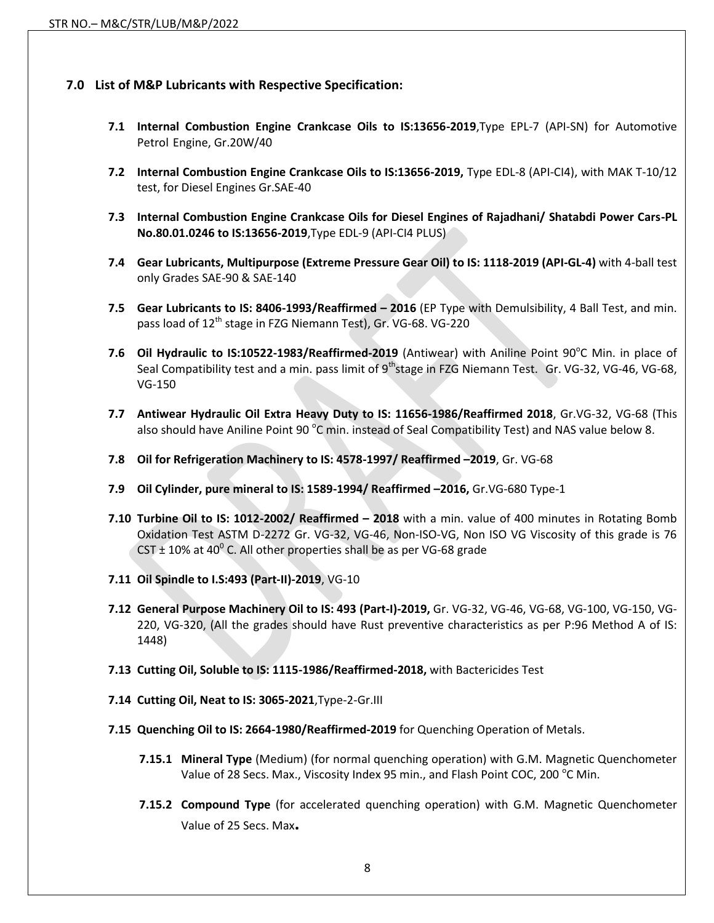### **7.0 List of M&P Lubricants with Respective Specification:**

- **7.1 Internal Combustion Engine Crankcase Oils to IS:13656-2019**,Type EPL-7 (API-SN) for Automotive Petrol Engine, Gr.20W/40
- **7.2 Internal Combustion Engine Crankcase Oils to IS:13656-2019,** Type EDL-8 (API-CI4), with MAK T-10/12 test, for Diesel Engines Gr.SAE-40
- **7.3 Internal Combustion Engine Crankcase Oils for Diesel Engines of Rajadhani/ Shatabdi Power Cars-PL No.80.01.0246 to IS:13656-2019**,Type EDL-9 (API-CI4 PLUS)
- **7.4 Gear Lubricants, Multipurpose (Extreme Pressure Gear Oil) to IS: 1118-2019 (API-GL-4)** with 4-ball test only Grades SAE-90 & SAE-140
- **7.5 Gear Lubricants to IS: 8406-1993/Reaffirmed – 2016** (EP Type with Demulsibility, 4 Ball Test, and min. pass load of 12<sup>th</sup> stage in FZG Niemann Test), Gr. VG-68. VG-220
- 7.6 Oil Hydraulic to IS:10522-1983/Reaffirmed-2019 (Antiwear) with Aniline Point 90°C Min. in place of Seal Compatibility test and a min. pass limit of 9<sup>th</sup>stage in FZG Niemann Test. Gr. VG-32, VG-46, VG-68, VG-150
- **7.7 Antiwear Hydraulic Oil Extra Heavy Duty to IS: 11656-1986/Reaffirmed 2018**, Gr.VG-32, VG-68 (This also should have Aniline Point 90  $^{\circ}$ C min. instead of Seal Compatibility Test) and NAS value below 8.
- **7.8 Oil for Refrigeration Machinery to IS: 4578-1997/ Reaffirmed –2019**, Gr. VG-68
- **7.9 Oil Cylinder, pure mineral to IS: 1589-1994/ Reaffirmed –2016,** Gr.VG-680 Type-1
- **7.10 Turbine Oil to IS: 1012-2002/ Reaffirmed – 2018** with a min. value of 400 minutes in Rotating Bomb Oxidation Test ASTM D-2272 Gr. VG-32, VG-46, Non-ISO-VG, Non ISO VG Viscosity of this grade is 76 CST  $\pm$  10% at 40<sup>°</sup> C. All other properties shall be as per VG-68 grade
- **7.11 Oil Spindle to I.S:493 (Part-II)-2019**, VG-10
- **7.12 General Purpose Machinery Oil to IS: 493 (Part-I)-2019,** Gr. VG-32, VG-46, VG-68, VG-100, VG-150, VG-220, VG-320, (All the grades should have Rust preventive characteristics as per P:96 Method A of IS: 1448)
- **7.13 Cutting Oil, Soluble to IS: 1115-1986/Reaffirmed-2018,** with Bactericides Test
- **7.14 Cutting Oil, Neat to IS: 3065-2021**,Type-2-Gr.III
- **7.15 Quenching Oil to IS: 2664-1980/Reaffirmed-2019** for Quenching Operation of Metals.
	- **7.15.1 Mineral Type** (Medium) (for normal quenching operation) with G.M. Magnetic Quenchometer Value of 28 Secs. Max., Viscosity Index 95 min., and Flash Point COC, 200 °C Min.
	- **7.15.2 Compound Type** (for accelerated quenching operation) with G.M. Magnetic Quenchometer Value of 25 Secs. Max**.**